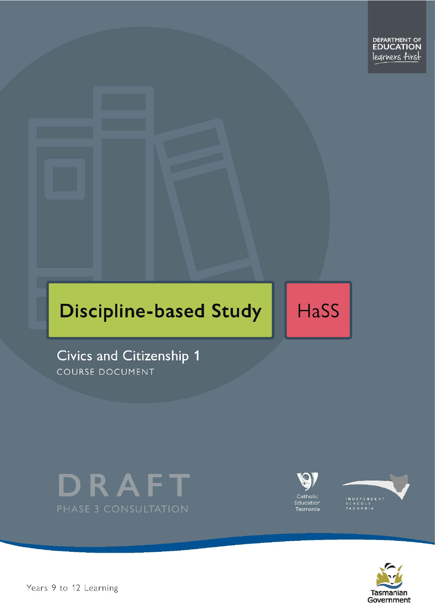

# **Discipline-based Study**

**HaSS** 

Civics and Citizenship 1 COURSE DOCUMENT









Years 9 to 12 Learning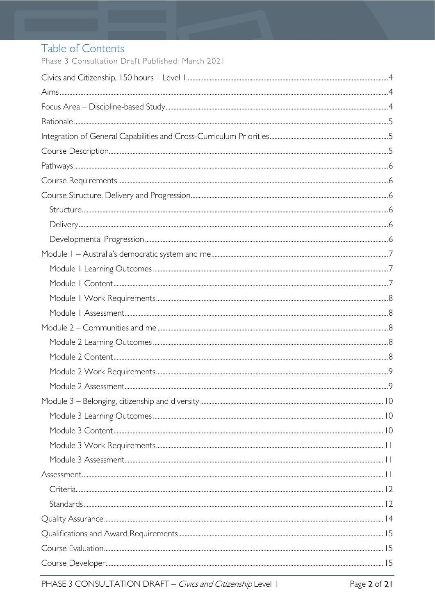# Table of Contents

Phase 3 Consultation Draft Published: March 2021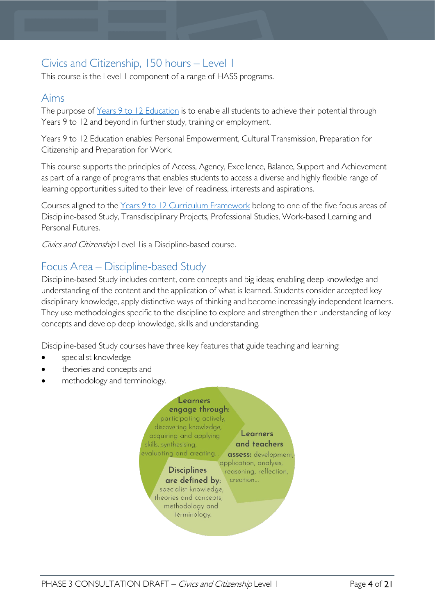# <span id="page-3-0"></span>Civics and Citizenship, 150 hours – Level 1

This course is the Level 1 component of a range of HASS programs.

# <span id="page-3-1"></span>Aims

The purpose of Years 9 to 12 [Education](https://publicdocumentcentre.education.tas.gov.au/library/Shared%20Documents/Years-9-to-12-Education-Framework.pdf) is to enable all students to achieve their potential through Years 9 to 12 and beyond in further study, training or employment.

Years 9 to 12 Education enables: Personal Empowerment, Cultural Transmission, Preparation for Citizenship and Preparation for Work.

This course supports the principles of Access, Agency, Excellence, Balance, Support and Achievement as part of a range of programs that enables students to access a diverse and highly flexible range of learning opportunities suited to their level of readiness, interests and aspirations.

Courses aligned to the Years 9 to 12 Curriculum [Framework](https://publicdocumentcentre.education.tas.gov.au/library/Shared%20Documents/Education%209-12%20Frameworks%20A3%20WEB%20POSTER.pdf) belong to one of the five focus areas of Discipline-based Study, Transdisciplinary Projects, Professional Studies, Work-based Learning and Personal Futures.

Civics and Citizenship Level I is a Discipline-based course.

# <span id="page-3-2"></span>Focus Area – Discipline-based Study

Discipline-based Study includes content, core concepts and big ideas; enabling deep knowledge and understanding of the content and the application of what is learned. Students consider accepted key disciplinary knowledge, apply distinctive ways of thinking and become increasingly independent learners. They use methodologies specific to the discipline to explore and strengthen their understanding of key concepts and develop deep knowledge, skills and understanding.

Discipline-based Study courses have three key features that guide teaching and learning:

- specialist knowledge
- theories and concepts and
- methodology and terminology.

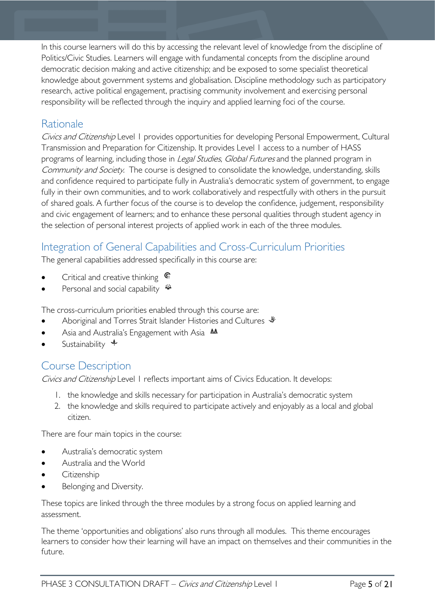In this course learners will do this by accessing the relevant level of knowledge from the discipline of Politics/Civic Studies. Learners will engage with fundamental concepts from the discipline around democratic decision making and active citizenship; and be exposed to some specialist theoretical knowledge about government systems and globalisation. Discipline methodology such as participatory research, active political engagement, practising community involvement and exercising personal responsibility will be reflected through the inquiry and applied learning foci of the course.

# <span id="page-4-0"></span>Rationale

Civics and Citizenship Level 1 provides opportunities for developing Personal Empowerment, Cultural Transmission and Preparation for Citizenship. It provides Level 1 access to a number of HASS programs of learning, including those in *Legal Studies, Global Futures* and the planned program in Community and Society. The course is designed to consolidate the knowledge, understanding, skills and confidence required to participate fully in Australia's democratic system of government, to engage fully in their own communities, and to work collaboratively and respectfully with others in the pursuit of shared goals. A further focus of the course is to develop the confidence, judgement, responsibility and civic engagement of learners; and to enhance these personal qualities through student agency in the selection of personal interest projects of applied work in each of the three modules.

# <span id="page-4-1"></span>Integration of General Capabilities and Cross-Curriculum Priorities

The general capabilities addressed specifically in this course are:

- Critical and creative thinking  $\mathbb{C}$
- Personal and social capability  $\ddot{\bullet}$

The cross-curriculum priorities enabled through this course are:

- Aboriginal and Torres Strait Islander Histories and Cultures
- Asia and Australia's Engagement with Asia  $AA$
- Sustainability  $\triangleq$

# <span id="page-4-2"></span>Course Description

Civics and Citizenship Level 1 reflects important aims of Civics Education. It develops:

- 1. the knowledge and skills necessary for participation in Australia's democratic system
- 2. the knowledge and skills required to participate actively and enjoyably as a local and global citizen.

There are four main topics in the course:

- Australia's democratic system
- Australia and the World
- **Citizenship**
- Belonging and Diversity.

These topics are linked through the three modules by a strong focus on applied learning and assessment.

The theme 'opportunities and obligations' also runs through all modules. This theme encourages learners to consider how their learning will have an impact on themselves and their communities in the future.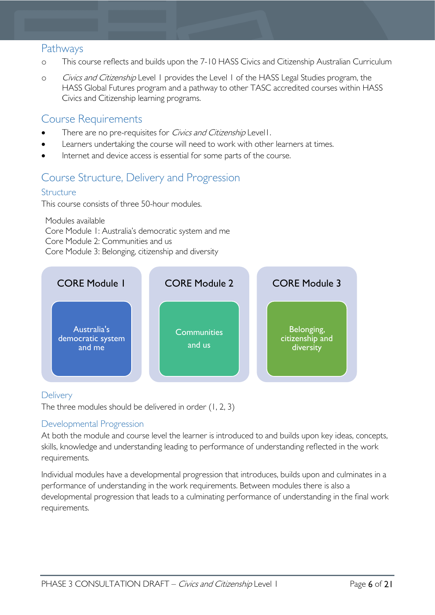# <span id="page-5-0"></span>Pathways

- o This course reflects and builds upon the 7-10 HASS Civics and Citizenship Australian Curriculum
- o Civics and Citizenship Level 1 provides the Level 1 of the HASS Legal Studies program, the HASS Global Futures program and a pathway to other TASC accredited courses within HASS Civics and Citizenship learning programs.

## <span id="page-5-1"></span>Course Requirements

- There are no pre-requisites for *Civics and Citizenship* Level1.
- Learners undertaking the course will need to work with other learners at times.
- Internet and device access is essential for some parts of the course.

# <span id="page-5-2"></span>Course Structure, Delivery and Progression

### <span id="page-5-3"></span>Structure

This course consists of three 50-hour modules.

Modules available Core Module 1: Australia's democratic system and me Core Module 2: Communities and us Core Module 3: Belonging, citizenship and diversity



### <span id="page-5-4"></span>**Delivery**

The three modules should be delivered in order (1, 2, 3)

### <span id="page-5-5"></span>Developmental Progression

At both the module and course level the learner is introduced to and builds upon key ideas, concepts, skills, knowledge and understanding leading to performance of understanding reflected in the work requirements.

Individual modules have a developmental progression that introduces, builds upon and culminates in a performance of understanding in the work requirements. Between modules there is also a developmental progression that leads to a culminating performance of understanding in the final work requirements.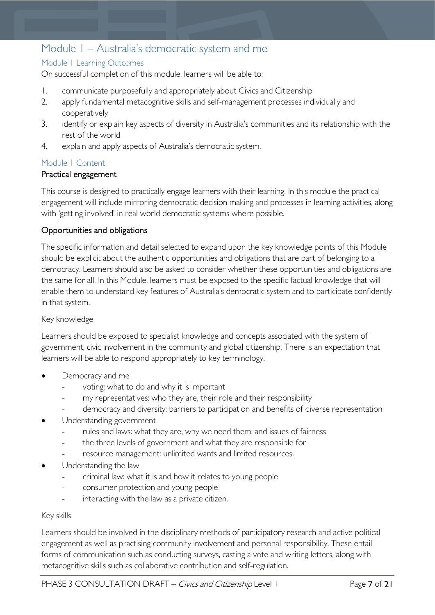# <span id="page-6-0"></span>Module 1 – Australia's democratic system and me

### <span id="page-6-1"></span>Module 1 Learning Outcomes

On successful completion of this module, learners will be able to:

- 1. communicate purposefully and appropriately about Civics and Citizenship
- 2. apply fundamental metacognitive skills and self-management processes individually and cooperatively
- 3. identify or explain key aspects of diversity in Australia's communities and its relationship with the rest of the world
- 4. explain and apply aspects of Australia's democratic system.

### <span id="page-6-2"></span>Module 1 Content

### Practical engagement

This course is designed to practically engage learners with their learning. In this module the practical engagement will include mirroring democratic decision making and processes in learning activities, along with 'getting involved' in real world democratic systems where possible.

### Opportunities and obligations

The specific information and detail selected to expand upon the key knowledge points of this Module should be explicit about the authentic opportunities and obligations that are part of belonging to a democracy. Learners should also be asked to consider whether these opportunities and obligations are the same for all. In this Module, learners must be exposed to the specific factual knowledge that will enable them to understand key features of Australia's democratic system and to participate confidently in that system.

### Key knowledge

Learners should be exposed to specialist knowledge and concepts associated with the system of government, civic involvement in the community and global citizenship. There is an expectation that learners will be able to respond appropriately to key terminology.

- Democracy and me
	- voting: what to do and why it is important
	- my representatives: who they are, their role and their responsibility
	- democracy and diversity: barriers to participation and benefits of diverse representation
- Understanding government
	- rules and laws: what they are, why we need them, and issues of fairness
	- the three levels of government and what they are responsible for
	- resource management: unlimited wants and limited resources.
- Understanding the law
	- criminal law: what it is and how it relates to young people
	- consumer protection and young people
	- interacting with the law as a private citizen.

#### Key skills

Learners should be involved in the disciplinary methods of participatory research and active political engagement as well as practising community involvement and personal responsibility. These entail forms of communication such as conducting surveys, casting a vote and writing letters, along with metacognitive skills such as collaborative contribution and self-regulation.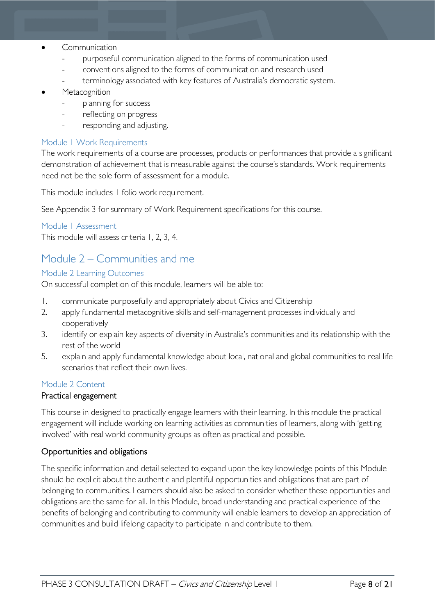- Communication
	- purposeful communication aligned to the forms of communication used
	- conventions aligned to the forms of communication and research used
	- terminology associated with key features of Australia's democratic system.

#### **Metacognition**

- planning for success
- reflecting on progress
- responding and adjusting.

#### <span id="page-7-0"></span>Module 1 Work Requirements

The work requirements of a course are processes, products or performances that provide a significant demonstration of achievement that is measurable against the course's standards. Work requirements need not be the sole form of assessment for a module.

This module includes 1 folio work requirement.

See Appendix 3 for summary of Work Requirement specifications for this course.

#### <span id="page-7-1"></span>Module 1 Assessment

This module will assess criteria 1, 2, 3, 4.

# <span id="page-7-2"></span>Module 2 – Communities and me

#### <span id="page-7-3"></span>Module 2 Learning Outcomes

On successful completion of this module, learners will be able to:

- 1. communicate purposefully and appropriately about Civics and Citizenship
- 2. apply fundamental metacognitive skills and self-management processes individually and cooperatively
- 3. identify or explain key aspects of diversity in Australia's communities and its relationship with the rest of the world
- 5. explain and apply fundamental knowledge about local, national and global communities to real life scenarios that reflect their own lives.

#### <span id="page-7-4"></span>Module 2 Content

#### Practical engagement

This course in designed to practically engage learners with their learning. In this module the practical engagement will include working on learning activities as communities of learners, along with 'getting involved' with real world community groups as often as practical and possible.

### Opportunities and obligations

The specific information and detail selected to expand upon the key knowledge points of this Module should be explicit about the authentic and plentiful opportunities and obligations that are part of belonging to communities. Learners should also be asked to consider whether these opportunities and obligations are the same for all. In this Module, broad understanding and practical experience of the benefits of belonging and contributing to community will enable learners to develop an appreciation of communities and build lifelong capacity to participate in and contribute to them.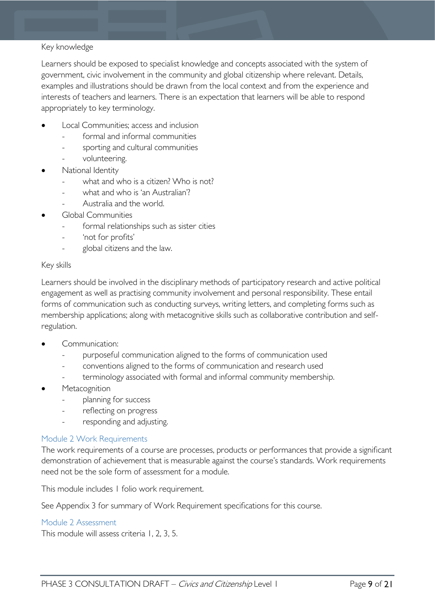#### Key knowledge

Learners should be exposed to specialist knowledge and concepts associated with the system of government, civic involvement in the community and global citizenship where relevant. Details, examples and illustrations should be drawn from the local context and from the experience and interests of teachers and learners. There is an expectation that learners will be able to respond appropriately to key terminology.

- Local Communities; access and inclusion
	- formal and informal communities
	- sporting and cultural communities
	- volunteering.
- National Identity
	- what and who is a citizen? Who is not?
	- what and who is 'an Australian'?
	- Australia and the world.
- Global Communities
	- formal relationships such as sister cities
	- 'not for profits'
	- global citizens and the law.

#### Key skills

Learners should be involved in the disciplinary methods of participatory research and active political engagement as well as practising community involvement and personal responsibility. These entail forms of communication such as conducting surveys, writing letters, and completing forms such as membership applications; along with metacognitive skills such as collaborative contribution and selfregulation.

- Communication:
	- purposeful communication aligned to the forms of communication used
	- conventions aligned to the forms of communication and research used
	- terminology associated with formal and informal community membership.
- **Metacognition** 
	- planning for success
	- reflecting on progress
	- responding and adjusting.

#### <span id="page-8-0"></span>Module 2 Work Requirements

The work requirements of a course are processes, products or performances that provide a significant demonstration of achievement that is measurable against the course's standards. Work requirements need not be the sole form of assessment for a module.

This module includes 1 folio work requirement.

See Appendix 3 for summary of Work Requirement specifications for this course.

#### <span id="page-8-1"></span>Module 2 Assessment

This module will assess criteria 1, 2, 3, 5.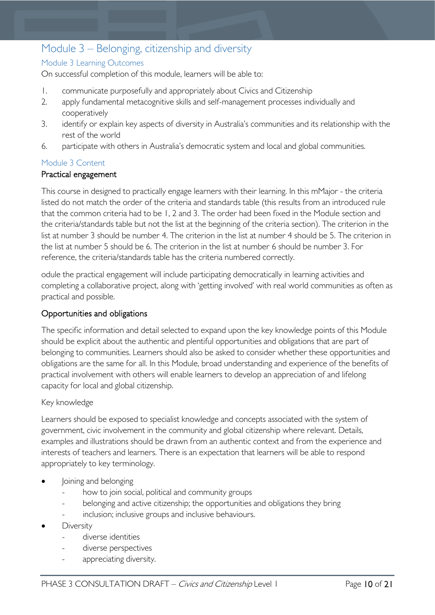# <span id="page-9-0"></span>Module 3 – Belonging, citizenship and diversity

### <span id="page-9-1"></span>Module 3 Learning Outcomes

On successful completion of this module, learners will be able to:

- 1. communicate purposefully and appropriately about Civics and Citizenship
- 2. apply fundamental metacognitive skills and self-management processes individually and cooperatively
- 3. identify or explain key aspects of diversity in Australia's communities and its relationship with the rest of the world
- 6. participate with others in Australia's democratic system and local and global communities.

#### <span id="page-9-2"></span>Module 3 Content

#### Practical engagement

This course in designed to practically engage learners with their learning. In this mMajor - the criteria listed do not match the order of the criteria and standards table (this results from an introduced rule that the common criteria had to be 1, 2 and 3. The order had been fixed in the Module section and the criteria/standards table but not the list at the beginning of the criteria section). The criterion in the list at number 3 should be number 4. The criterion in the list at number 4 should be 5. The criterion in the list at number 5 should be 6. The criterion in the list at number 6 should be number 3. For reference, the criteria/standards table has the criteria numbered correctly.

odule the practical engagement will include participating democratically in learning activities and completing a collaborative project, along with 'getting involved' with real world communities as often as practical and possible.

#### Opportunities and obligations

The specific information and detail selected to expand upon the key knowledge points of this Module should be explicit about the authentic and plentiful opportunities and obligations that are part of belonging to communities. Learners should also be asked to consider whether these opportunities and obligations are the same for all. In this Module, broad understanding and experience of the benefits of practical involvement with others will enable learners to develop an appreciation of and lifelong capacity for local and global citizenship.

#### Key knowledge

Learners should be exposed to specialist knowledge and concepts associated with the system of government, civic involvement in the community and global citizenship where relevant. Details, examples and illustrations should be drawn from an authentic context and from the experience and interests of teachers and learners. There is an expectation that learners will be able to respond appropriately to key terminology.

- Joining and belonging
	- how to join social, political and community groups
	- belonging and active citizenship; the opportunities and obligations they bring
	- inclusion; inclusive groups and inclusive behaviours.
- **Diversity** 
	- diverse identities
	- diverse perspectives
	- appreciating diversity.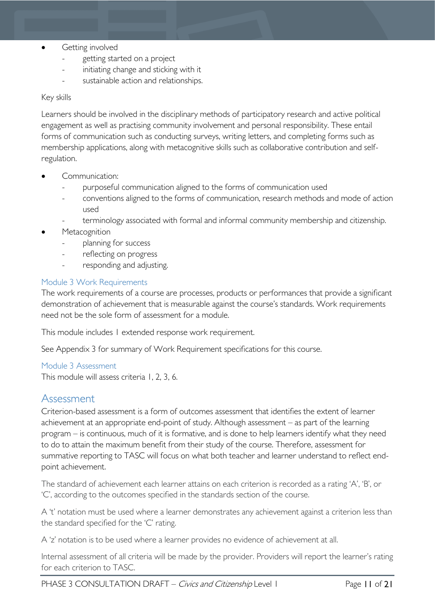- Getting involved
	- getting started on a project
	- initiating change and sticking with it
	- sustainable action and relationships.

#### Key skills

Learners should be involved in the disciplinary methods of participatory research and active political engagement as well as practising community involvement and personal responsibility. These entail forms of communication such as conducting surveys, writing letters, and completing forms such as membership applications, along with metacognitive skills such as collaborative contribution and selfregulation.

- Communication:
	- purposeful communication aligned to the forms of communication used
	- conventions aligned to the forms of communication, research methods and mode of action used
	- terminology associated with formal and informal community membership and citizenship.
- **Metacognition** 
	- planning for success
	- reflecting on progress
	- responding and adjusting.

#### <span id="page-10-0"></span>Module 3 Work Requirements

The work requirements of a course are processes, products or performances that provide a significant demonstration of achievement that is measurable against the course's standards. Work requirements need not be the sole form of assessment for a module.

This module includes 1 extended response work requirement.

See Appendix 3 for summary of Work Requirement specifications for this course.

#### <span id="page-10-1"></span>Module 3 Assessment

This module will assess criteria 1, 2, 3, 6.

### <span id="page-10-2"></span>Assessment

Criterion-based assessment is a form of outcomes assessment that identifies the extent of learner achievement at an appropriate end-point of study. Although assessment – as part of the learning program – is continuous, much of it is formative, and is done to help learners identify what they need to do to attain the maximum benefit from their study of the course. Therefore, assessment for summative reporting to TASC will focus on what both teacher and learner understand to reflect endpoint achievement.

The standard of achievement each learner attains on each criterion is recorded as a rating 'A', 'B', or 'C', according to the outcomes specified in the standards section of the course.

A 't' notation must be used where a learner demonstrates any achievement against a criterion less than the standard specified for the 'C' rating.

A 'z' notation is to be used where a learner provides no evidence of achievement at all.

Internal assessment of all criteria will be made by the provider. Providers will report the learner's rating for each criterion to TASC.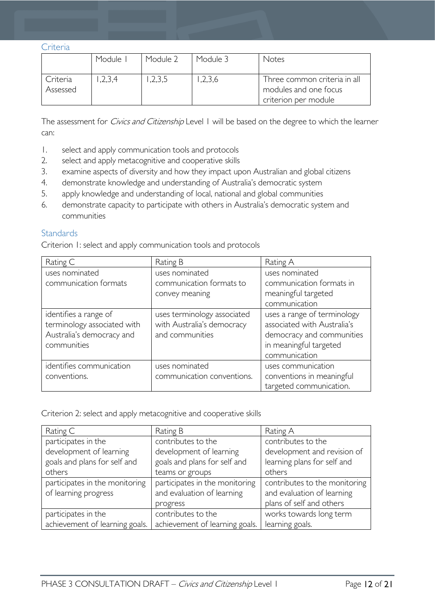<span id="page-11-0"></span>Criteria

|                      | Module 1  | Module 2 | Module 3 | Notes                                                                         |
|----------------------|-----------|----------|----------|-------------------------------------------------------------------------------|
| Criteria<br>Assessed | , 2, 3, 4 | ,2,3,5   | ,2,3,6   | Three common criteria in all<br>modules and one focus<br>criterion per module |

The assessment for *Civics and Citizenship* Level 1 will be based on the degree to which the learner can:

- 1. select and apply communication tools and protocols
- 2. select and apply metacognitive and cooperative skills
- 3. examine aspects of diversity and how they impact upon Australian and global citizens
- 4. demonstrate knowledge and understanding of Australia's democratic system
- 5. apply knowledge and understanding of local, national and global communities
- 6. demonstrate capacity to participate with others in Australia's democratic system and communities

#### <span id="page-11-1"></span>**Standards**

Criterion 1: select and apply communication tools and protocols

| Rating C                                                                                         | Rating B                                                                     | Rating A                                                                                                                           |
|--------------------------------------------------------------------------------------------------|------------------------------------------------------------------------------|------------------------------------------------------------------------------------------------------------------------------------|
| uses nominated                                                                                   | uses nominated                                                               | uses nominated                                                                                                                     |
| communication formats                                                                            | communication formats to                                                     | communication formats in                                                                                                           |
|                                                                                                  | convey meaning                                                               | meaningful targeted                                                                                                                |
|                                                                                                  |                                                                              | communication                                                                                                                      |
| identifies a range of<br>terminology associated with<br>Australia's democracy and<br>communities | uses terminology associated<br>with Australia's democracy<br>and communities | uses a range of terminology<br>associated with Australia's<br>democracy and communities<br>in meaningful targeted<br>communication |
| identifies communication<br>conventions.                                                         | uses nominated<br>communication conventions.                                 | uses communication<br>conventions in meaningful<br>targeted communication.                                                         |

Criterion 2: select and apply metacognitive and cooperative skills

| Rating C                       | Rating B                       | Rating A                      |
|--------------------------------|--------------------------------|-------------------------------|
| participates in the            | contributes to the             | contributes to the            |
| development of learning        | development of learning        | development and revision of   |
| goals and plans for self and   | goals and plans for self and   | learning plans for self and   |
| others                         | teams or groups                | others                        |
| participates in the monitoring | participates in the monitoring | contributes to the monitoring |
| of learning progress           | and evaluation of learning     | and evaluation of learning    |
|                                | progress                       | plans of self and others      |
| participates in the            | contributes to the             | works towards long term       |
| achievement of learning goals. | achievement of learning goals. | learning goals.               |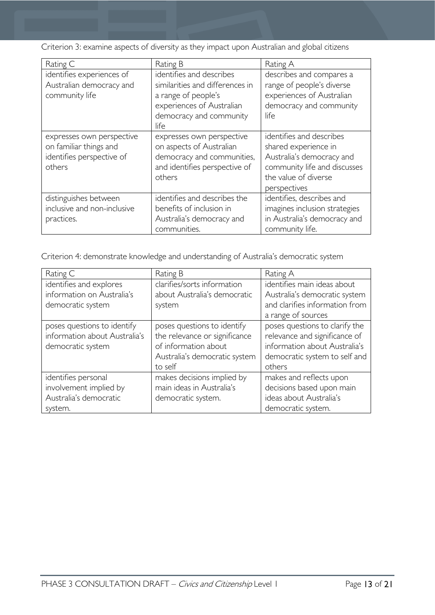Criterion 3: examine aspects of diversity as they impact upon Australian and global citizens

| Rating C                                                                                   | Rating B                                                                                                                                            | Rating A                                                                                                                                              |
|--------------------------------------------------------------------------------------------|-----------------------------------------------------------------------------------------------------------------------------------------------------|-------------------------------------------------------------------------------------------------------------------------------------------------------|
| identifies experiences of<br>Australian democracy and<br>community life                    | identifies and describes<br>similarities and differences in<br>a range of people's<br>experiences of Australian<br>democracy and community<br>life. | describes and compares a<br>range of people's diverse<br>experiences of Australian<br>democracy and community<br>life                                 |
| expresses own perspective<br>on familiar things and<br>identifies perspective of<br>others | expresses own perspective<br>on aspects of Australian<br>democracy and communities,<br>and identifies perspective of<br>others                      | identifies and describes<br>shared experience in<br>Australia's democracy and<br>community life and discusses<br>the value of diverse<br>perspectives |
| distinguishes between<br>inclusive and non-inclusive<br>practices.                         | identifies and describes the<br>benefits of inclusion in<br>Australia's democracy and<br>communities.                                               | identifies, describes and<br>imagines inclusion strategies<br>in Australia's democracy and<br>community life.                                         |

Criterion 4: demonstrate knowledge and understanding of Australia's democratic system

| Rating C                      | Rating B                      | Rating A                       |
|-------------------------------|-------------------------------|--------------------------------|
| identifies and explores       | clarifies/sorts information   | identifies main ideas about    |
| information on Australia's    | about Australia's democratic  | Australia's democratic system  |
| democratic system             | system                        | and clarifies information from |
|                               |                               | a range of sources             |
| poses questions to identify   | poses questions to identify   | poses questions to clarify the |
| information about Australia's | the relevance or significance | relevance and significance of  |
| democratic system             | of information about          | information about Australia's  |
|                               | Australia's democratic system | democratic system to self and  |
|                               | to self                       | others                         |
| identifies personal           | makes decisions implied by    | makes and reflects upon        |
| involvement implied by        | main ideas in Australia's     | decisions based upon main      |
| Australia's democratic        | democratic system.            | ideas about Australia's        |
| system.                       |                               | democratic system.             |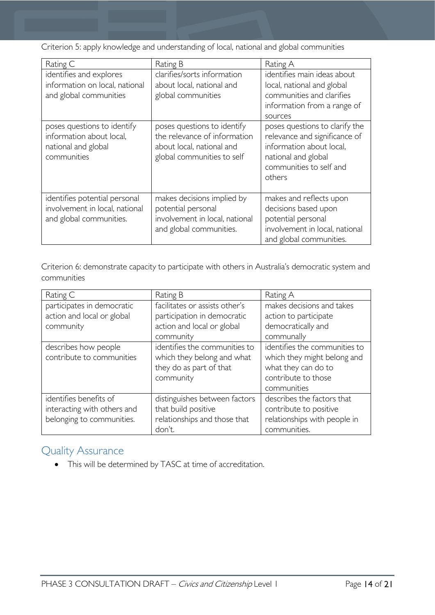Criterion 5: apply knowledge and understanding of local, national and global communities

| Rating C                                                                                      | Rating B                                                                                                               | Rating A                                                                                                                                                |  |  |
|-----------------------------------------------------------------------------------------------|------------------------------------------------------------------------------------------------------------------------|---------------------------------------------------------------------------------------------------------------------------------------------------------|--|--|
| identifies and explores<br>information on local, national<br>and global communities           | clarifies/sorts information<br>about local, national and<br>global communities                                         | identifies main ideas about<br>local, national and global<br>communities and clarifies<br>information from a range of<br>sources                        |  |  |
| poses questions to identify<br>information about local,<br>national and global<br>communities | poses questions to identify<br>the relevance of information<br>about local, national and<br>global communities to self | poses questions to clarify the<br>relevance and significance of<br>information about local,<br>national and global<br>communities to self and<br>others |  |  |
| identifies potential personal<br>involvement in local, national<br>and global communities.    | makes decisions implied by<br>potential personal<br>involvement in local, national<br>and global communities.          | makes and reflects upon<br>decisions based upon<br>potential personal<br>involvement in local, national<br>and global communities.                      |  |  |

Criterion 6: demonstrate capacity to participate with others in Australia's democratic system and communities

| Rating C                    | Rating B                       | Rating A                      |
|-----------------------------|--------------------------------|-------------------------------|
| participates in democratic  | facilitates or assists other's | makes decisions and takes     |
| action and local or global  | participation in democratic    | action to participate         |
| community                   | action and local or global     | democratically and            |
|                             | community                      | communally                    |
| describes how people        | identifies the communities to  | identifies the communities to |
| contribute to communities   | which they belong and what     | which they might belong and   |
|                             | they do as part of that        | what they can do to           |
|                             | community                      | contribute to those           |
|                             |                                | communities                   |
| identifies benefits of      | distinguishes between factors  | describes the factors that    |
| interacting with others and | that build positive            | contribute to positive        |
| belonging to communities.   | relationships and those that   | relationships with people in  |
|                             | don't.                         | communities.                  |

# <span id="page-13-0"></span>Quality Assurance

• This will be determined by TASC at time of accreditation.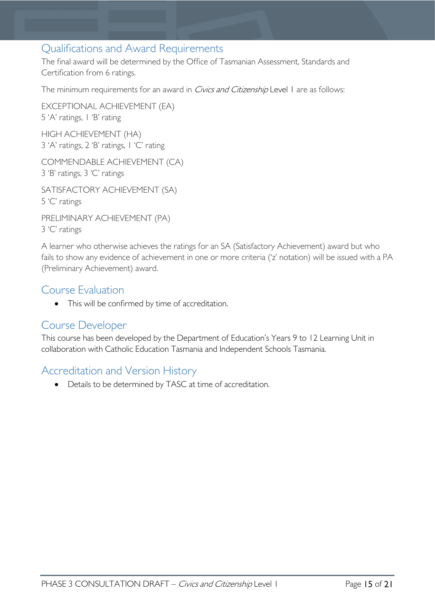# <span id="page-14-0"></span>Qualifications and Award Requirements

The final award will be determined by the Office of Tasmanian Assessment, Standards and Certification from 6 ratings.

The minimum requirements for an award in *Civics and Citizenship* Level 1 are as follows:

EXCEPTIONAL ACHIEVEMENT (EA) 5 'A' ratings, 1 'B' rating HIGH ACHIEVEMENT (HA)

3 'A' ratings, 2 'B' ratings, 1 'C' rating

COMMENDABLE ACHIEVEMENT (CA) 3 'B' ratings, 3 'C' ratings

SATISFACTORY ACHIEVEMENT (SA) 5 'C' ratings

PRELIMINARY ACHIEVEMENT (PA) 3 'C' ratings

A learner who otherwise achieves the ratings for an SA (Satisfactory Achievement) award but who fails to show any evidence of achievement in one or more criteria ('z' notation) will be issued with a PA (Preliminary Achievement) award.

## <span id="page-14-1"></span>Course Evaluation

• This will be confirmed by time of accreditation.

### <span id="page-14-2"></span>Course Developer

This course has been developed by the Department of Education's Years 9 to 12 Learning Unit in collaboration with Catholic Education Tasmania and Independent Schools Tasmania.

# <span id="page-14-3"></span>Accreditation and Version History

• Details to be determined by TASC at time of accreditation.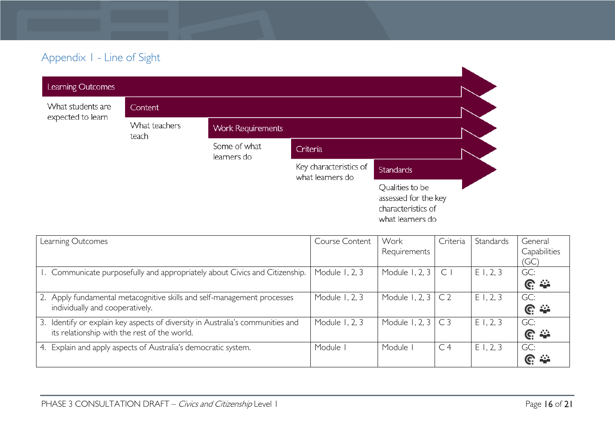# Appendix 1 - Line of Sight

| Learning Outcomes |                        |                             |                                            |                                                                                   |  |
|-------------------|------------------------|-----------------------------|--------------------------------------------|-----------------------------------------------------------------------------------|--|
| What students are | <b>Content</b>         |                             |                                            |                                                                                   |  |
| expected to learn | What teachers<br>teach | <b>Work Requirements</b>    |                                            |                                                                                   |  |
|                   |                        | Some of what<br>learners do | Criteria                                   |                                                                                   |  |
|                   |                        |                             | Key characteristics of<br>what learners do | <b>Standards</b>                                                                  |  |
|                   |                        |                             |                                            | Qualities to be<br>assessed for the key<br>characteristics of<br>what learners do |  |

<span id="page-15-0"></span>

| Learning Outcomes                                                              | Course Content | Work                     | Criteria       | Standards   | General              |
|--------------------------------------------------------------------------------|----------------|--------------------------|----------------|-------------|----------------------|
|                                                                                |                | Requirements             |                |             | Capabilities         |
|                                                                                |                |                          |                |             | (GC)                 |
| I. Communicate purposefully and appropriately about Civics and Citizenship.    | Module 1, 2, 3 | Module 1, 2, 3           | C              | E1, 2, 3    | GC:                  |
|                                                                                |                |                          |                |             | $\mathbb{C} \cong$   |
| 2. Apply fundamental metacognitive skills and self-management processes        | Module 1, 2, 3 | Module 1, 2, 3           | C <sub>2</sub> | E1, 2, 3    | GC:                  |
| individually and cooperatively.                                                |                |                          |                |             | $\mathbb{C}$ $\cong$ |
| 3. Identify or explain key aspects of diversity in Australia's communities and | Module 1, 2, 3 | Module 1, 2, $3 \mid C3$ |                | $E$ 1, 2, 3 | GC:                  |
| its relationship with the rest of the world.                                   |                |                          |                |             | $\mathbb{C} \cong$   |
| 4. Explain and apply aspects of Australia's democratic system.                 | Module I       | Module I                 | C <sub>4</sub> | E1, 2, 3    | GC:                  |
|                                                                                |                |                          |                |             | <u>ଜ କ</u>           |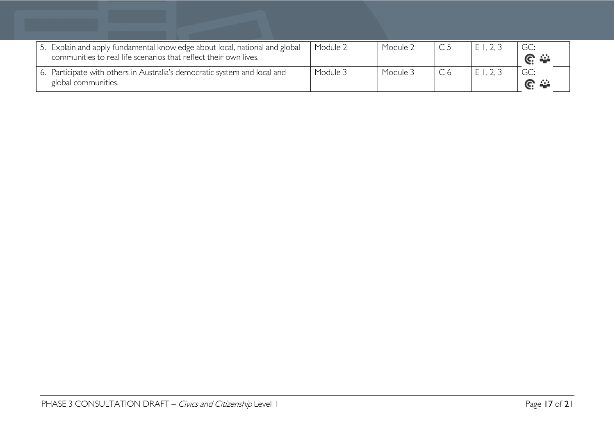| 5. Explain and apply fundamental knowledge about local, national and global<br>communities to real life scenarios that reflect their own lives. | Module 2 | Module 2 | E1, 2, 3 | $C \cong$  |
|-------------------------------------------------------------------------------------------------------------------------------------------------|----------|----------|----------|------------|
| 6. Participate with others in Australia's democratic system and local and<br>global communities.                                                | Module 3 | Module 3 | E1, 2, 3 | <u>େ କ</u> |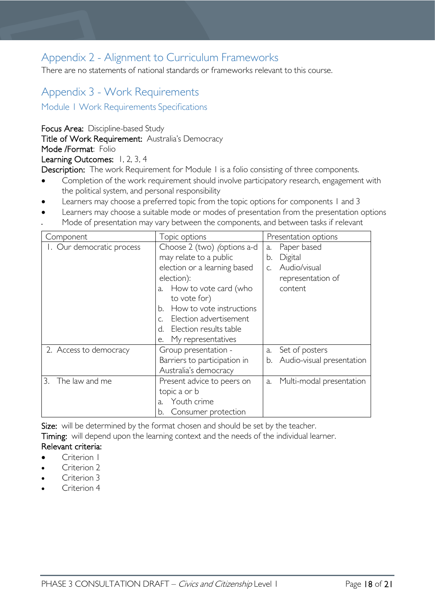# <span id="page-17-0"></span>Appendix 2 - Alignment to Curriculum Frameworks

There are no statements of national standards or frameworks relevant to this course.

# <span id="page-17-1"></span>Appendix 3 - Work Requirements

<span id="page-17-2"></span>Module 1 Work Requirements Specifications

Focus Area: Discipline-based Study

Title of Work Requirement: Australia's Democracy

Mode /Format: Folio

#### Learning Outcomes: 1, 2, 3, 4

Description: The work Requirement for Module I is a folio consisting of three components.

- Completion of the work requirement should involve participatory research, engagement with the political system, and personal responsibility
- Learners may choose a preferred topic from the topic options for components 1 and 3
- Learners may choose a suitable mode or modes of presentation from the presentation options
- Mode of presentation may vary between the components, and between tasks if relevant

| Component                 | Topic options                      |    | Presentation options      |  |
|---------------------------|------------------------------------|----|---------------------------|--|
| I. Our democratic process | Choose 2 (two) <i>(options a-d</i> |    | Paper based               |  |
|                           | may relate to a public             |    | Digital                   |  |
|                           | election or a learning based       |    | Audio/visual              |  |
|                           | election):                         |    | representation of         |  |
|                           | How to vote card (who<br>a.        |    | content                   |  |
|                           | to vote for)                       |    |                           |  |
|                           | How to vote instructions<br>h.     |    |                           |  |
|                           | Election advertisement             |    |                           |  |
|                           | Election results table<br>d.       |    |                           |  |
|                           | My representatives<br>e.           |    |                           |  |
| 2. Access to democracy    | Group presentation -               | a. | Set of posters            |  |
|                           | Barriers to participation in       | b. | Audio-visual presentation |  |
|                           | Australia's democracy              |    |                           |  |
| The law and me<br>3.      | Present advice to peers on         |    | Multi-modal presentation  |  |
|                           | topic a or b                       |    |                           |  |
|                           | Youth crime<br>a.                  |    |                           |  |
|                           | Consumer protection<br>b.          |    |                           |  |

Size: will be determined by the format chosen and should be set by the teacher.

Timing: will depend upon the learning context and the needs of the individual learner. Relevant criteria:

- Criterion 1
- Criterion 2
- Criterion 3
- Criterion 4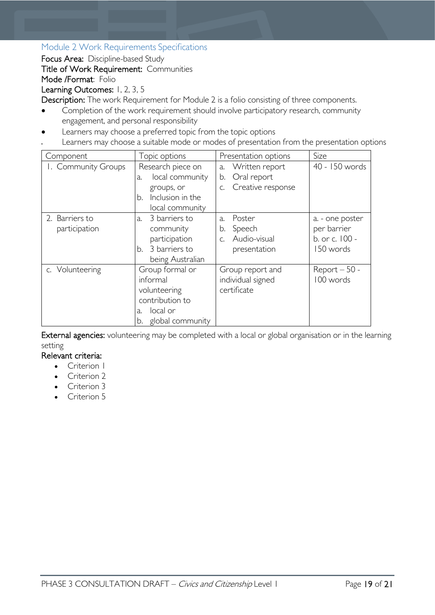### <span id="page-18-0"></span>Module 2 Work Requirements Specifications

Focus Area: Discipline-based Study

Title of Work Requirement: Communities

### Mode /Format: Folio

Learning Outcomes: 1, 2, 3, 5

Description: The work Requirement for Module 2 is a folio consisting of three components.

- Completion of the work requirement should involve participatory research, community engagement, and personal responsibility
- Learners may choose a preferred topic from the topic options
- Learners may choose a suitable mode or modes of presentation from the presentation options

| Component           | Topic options          | Presentation options         | Size            |
|---------------------|------------------------|------------------------------|-----------------|
| I. Community Groups | Research piece on      | Written report<br>a.         | 40 - 150 words  |
|                     | local community<br>a.  | Oral report<br>b.            |                 |
|                     | groups, or             | Creative response<br>$C_{1}$ |                 |
|                     | Inclusion in the<br>b. |                              |                 |
|                     | local community        |                              |                 |
| 2. Barriers to      | 3 barriers to<br>a.    | Poster<br>$\lambda$ .        | a. - one poster |
| participation       | community              | Speech<br>b.                 | per barrier     |
|                     | participation          | Audio-visual<br>C.           | b. or c. 100 -  |
|                     | b. 3 barriers to       | presentation                 | 150 words       |
|                     | being Australian       |                              |                 |
| c. Volunteering     | Group formal or        | Group report and             | $Report - 50 -$ |
|                     | informal               | individual signed            | 100 words       |
|                     | volunteering           | certificate                  |                 |
|                     | contribution to        |                              |                 |
|                     | local or<br>a.         |                              |                 |
|                     | global community<br>b. |                              |                 |

External agencies: volunteering may be completed with a local or global organisation or in the learning setting

### Relevant criteria:

- Criterion I
- Criterion 2
- Criterion 3
- Criterion 5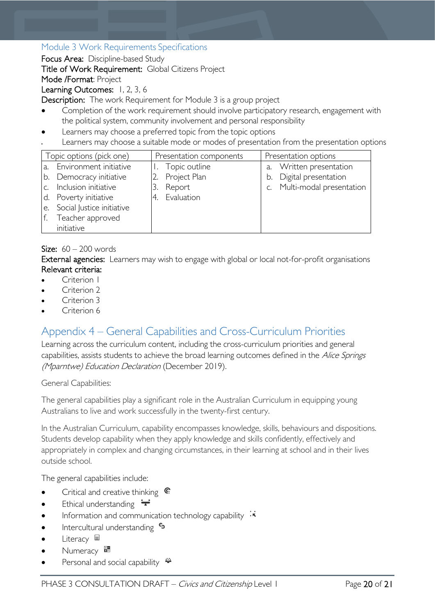### <span id="page-19-0"></span>Module 3 Work Requirements Specifications

Focus Area: Discipline-based Study

Title of Work Requirement: Global Citizens Project

Mode /Format: Project

Learning Outcomes: 1, 2, 3, 6

Description: The work Requirement for Module 3 is a group project

- Completion of the work requirement should involve participatory research, engagement with the political system, community involvement and personal responsibility
- Learners may choose a preferred topic from the topic options
- Learners may choose a suitable mode or modes of presentation from the presentation options

|                | Topic options (pick one)     | Presentation components | Presentation options        |
|----------------|------------------------------|-------------------------|-----------------------------|
|                | a. Environment initiative    | Topic outline           | a. Written presentation     |
|                | b. Democracy initiative      | Project Plan            | b. Digital presentation     |
| $\mathsf{C}$ . | Inclusion initiative         | Report                  | c. Multi-modal presentation |
|                | d. Poverty initiative        | Evaluation<br>4.        |                             |
|                | e. Social Justice initiative |                         |                             |
| 1f. .          | Teacher approved             |                         |                             |
|                | initiative                   |                         |                             |

### Size:  $60 - 200$  words

External agencies: Learners may wish to engage with global or local not-for-profit organisations Relevant criteria:

- Criterion I
- Criterion 2
- Criterion 3
- Criterion 6

# <span id="page-19-1"></span>Appendix 4 – General Capabilities and Cross-Curriculum Priorities

Learning across the curriculum content, including the cross-curriculum priorities and general capabilities, assists students to achieve the broad learning outcomes defined in the Alice Springs (Mparntwe) Education Declaration (December 2019).

General Capabilities:

The general capabilities play a significant role in the Australian Curriculum in equipping young Australians to live and work successfully in the twenty-first century.

In the Australian Curriculum, capability encompasses knowledge, skills, behaviours and dispositions. Students develop capability when they apply knowledge and skills confidently, effectively and appropriately in complex and changing circumstances, in their learning at school and in their lives outside school.

The general capabilities include:

- Critical and creative thinking  $\mathbb{C}$
- Ethical understanding  $\div$
- Information and communication technology capability  $\cdot\overrightarrow{\mathbf{x}}$
- **Intercultural understanding S**
- Literacy  $\blacksquare$
- Numeracy **\***
- Personal and social capability  $\ddot{\bullet}$